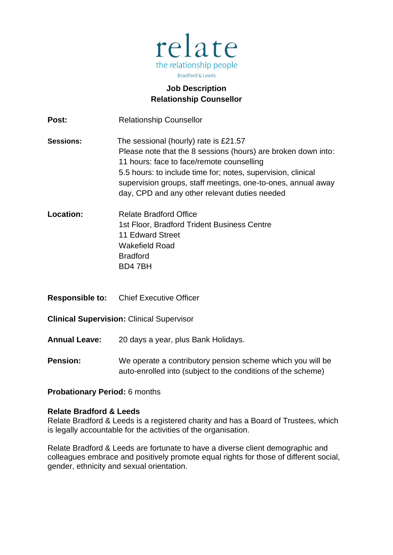

# **Job Description Relationship Counsellor**

**Post:** Relationship Counsellor **Sessions:** The sessional (hourly) rate is £21.57 Please note that the 8 sessions (hours) are broken down into: 11 hours: face to face/remote counselling 5.5 hours: to include time for; notes, supervision, clinical supervision groups, staff meetings, one-to-ones, annual away day, CPD and any other relevant duties needed **Location:** Relate Bradford Office 1st Floor, Bradford Trident Business Centre 11 Edward Street Wakefield Road Bradford BD4 7BH **Responsible to:** Chief Executive Officer **Clinical Supervision:** Clinical Supervisor **Annual Leave:** 20 days a year, plus Bank Holidays. **Pension:** We operate a contributory pension scheme which you will be auto-enrolled into (subject to the conditions of the scheme)

### **Probationary Period:** 6 months

#### **Relate Bradford & Leeds**

Relate Bradford & Leeds is a registered charity and has a Board of Trustees, which is legally accountable for the activities of the organisation.

Relate Bradford & Leeds are fortunate to have a diverse client demographic and colleagues embrace and positively promote equal rights for those of different social, gender, ethnicity and sexual orientation.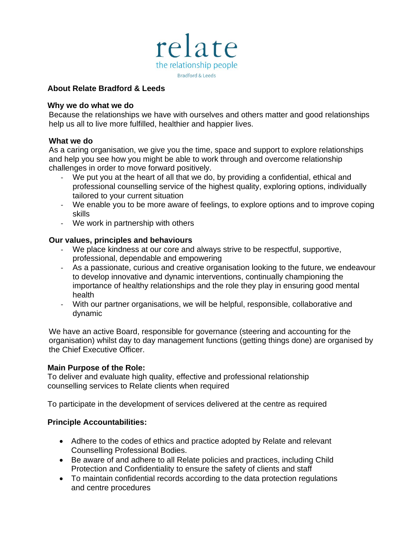

### **About Relate Bradford & Leeds**

### **Why we do what we do**

Because the relationships we have with ourselves and others matter and good relationships help us all to live more fulfilled, healthier and happier lives.

#### **What we do**

As a caring organisation, we give you the time, space and support to explore relationships and help you see how you might be able to work through and overcome relationship challenges in order to move forward positively.

- We put you at the heart of all that we do, by providing a confidential, ethical and professional counselling service of the highest quality, exploring options, individually tailored to your current situation
- We enable you to be more aware of feelings, to explore options and to improve coping skills
- We work in partnership with others

### **Our values, principles and behaviours**

- We place kindness at our core and always strive to be respectful, supportive, professional, dependable and empowering
- As a passionate, curious and creative organisation looking to the future, we endeavour to develop innovative and dynamic interventions, continually championing the importance of healthy relationships and the role they play in ensuring good mental health
- With our partner organisations, we will be helpful, responsible, collaborative and dynamic

We have an active Board, responsible for governance (steering and accounting for the organisation) whilst day to day management functions (getting things done) are organised by the Chief Executive Officer.

### **Main Purpose of the Role:**

To deliver and evaluate high quality, effective and professional relationship counselling services to Relate clients when required

To participate in the development of services delivered at the centre as required

### **Principle Accountabilities:**

- Adhere to the codes of ethics and practice adopted by Relate and relevant Counselling Professional Bodies.
- Be aware of and adhere to all Relate policies and practices, including Child Protection and Confidentiality to ensure the safety of clients and staff
- To maintain confidential records according to the data protection regulations and centre procedures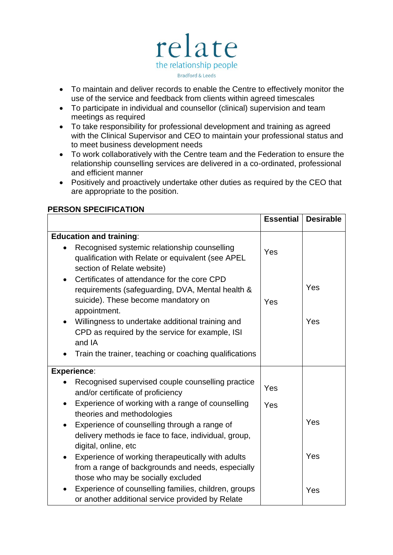

- To maintain and deliver records to enable the Centre to effectively monitor the use of the service and feedback from clients within agreed timescales
- To participate in individual and counsellor (clinical) supervision and team meetings as required
- To take responsibility for professional development and training as agreed with the Clinical Supervisor and CEO to maintain your professional status and to meet business development needs
- To work collaboratively with the Centre team and the Federation to ensure the relationship counselling services are delivered in a co-ordinated, professional and efficient manner
- Positively and proactively undertake other duties as required by the CEO that are appropriate to the position.

|                                                                                                                                                           | <b>Essential</b> | <b>Desirable</b> |
|-----------------------------------------------------------------------------------------------------------------------------------------------------------|------------------|------------------|
| <b>Education and training:</b>                                                                                                                            |                  |                  |
| Recognised systemic relationship counselling<br>qualification with Relate or equivalent (see APEL<br>section of Relate website)                           | Yes              |                  |
| Certificates of attendance for the core CPD<br>requirements (safeguarding, DVA, Mental health &<br>suicide). These become mandatory on<br>appointment.    | Yes              | Yes              |
| Willingness to undertake additional training and<br>$\bullet$<br>CPD as required by the service for example, ISI<br>and IA                                |                  | Yes              |
| Train the trainer, teaching or coaching qualifications                                                                                                    |                  |                  |
| <b>Experience:</b>                                                                                                                                        |                  |                  |
| Recognised supervised couple counselling practice<br>$\bullet$<br>and/or certificate of proficiency                                                       | Yes              |                  |
| Experience of working with a range of counselling<br>$\bullet$<br>theories and methodologies                                                              | Yes              |                  |
| Experience of counselling through a range of<br>$\bullet$<br>delivery methods ie face to face, individual, group,<br>digital, online, etc                 |                  | Yes              |
| Experience of working therapeutically with adults<br>$\bullet$<br>from a range of backgrounds and needs, especially<br>those who may be socially excluded |                  | Yes              |
| Experience of counselling families, children, groups<br>or another additional service provided by Relate                                                  |                  | Yes              |

## **PERSON SPECIFICATION**